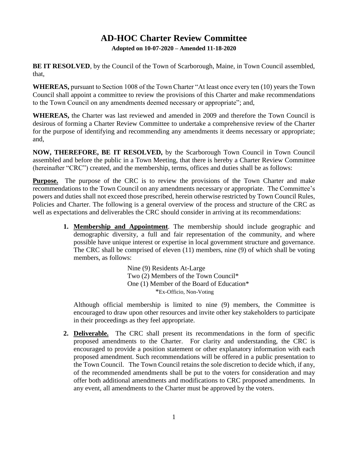## **AD-HOC Charter Review Committee**

**Adopted on 10-07-2020 – Amended 11-18-2020**

**BE IT RESOLVED**, by the Council of the Town of Scarborough, Maine, in Town Council assembled, that,

**WHEREAS,** pursuant to Section 1008 of the Town Charter "At least once every ten (10) years the Town Council shall appoint a committee to review the provisions of this Charter and make recommendations to the Town Council on any amendments deemed necessary or appropriate"; and,

**WHEREAS,** the Charter was last reviewed and amended in 2009 and therefore the Town Council is desirous of forming a Charter Review Committee to undertake a comprehensive review of the Charter for the purpose of identifying and recommending any amendments it deems necessary or appropriate; and,

**NOW, THEREFORE, BE IT RESOLVED,** by the Scarborough Town Council in Town Council assembled and before the public in a Town Meeting, that there is hereby a Charter Review Committee (hereinafter "CRC") created, and the membership, terms, offices and duties shall be as follows:

**Purpose.** The purpose of the CRC is to review the provisions of the Town Charter and make recommendations to the Town Council on any amendments necessary or appropriate. The Committee's powers and duties shall not exceed those prescribed, herein otherwise restricted by Town Council Rules, Policies and Charter. The following is a general overview of the process and structure of the CRC as well as expectations and deliverables the CRC should consider in arriving at its recommendations:

> **1. Membership and Appointment**. The membership should include geographic and demographic diversity, a full and fair representation of the community, and where possible have unique interest or expertise in local government structure and governance. The CRC shall be comprised of eleven (11) members, nine (9) of which shall be voting members, as follows:

> > Nine (9) Residents At-Large Two (2) Members of the Town Council\* One (1) Member of the Board of Education\* \*Ex-Officio, Non-Voting

Although official membership is limited to nine (9) members, the Committee is encouraged to draw upon other resources and invite other key stakeholders to participate in their proceedings as they feel appropriate.

**2. Deliverable.** The CRC shall present its recommendations in the form of specific proposed amendments to the Charter. For clarity and understanding, the CRC is encouraged to provide a position statement or other explanatory information with each proposed amendment. Such recommendations will be offered in a public presentation to the Town Council. The Town Council retains the sole discretion to decide which, if any, of the recommended amendments shall be put to the voters for consideration and may offer both additional amendments and modifications to CRC proposed amendments. In any event, all amendments to the Charter must be approved by the voters.